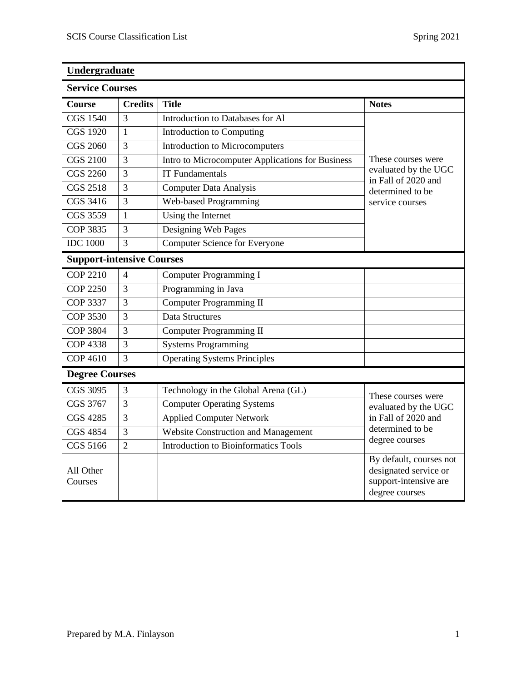| Undergraduate<br><b>Service Courses</b> |                |                                                  |                                                                                                          |  |
|-----------------------------------------|----------------|--------------------------------------------------|----------------------------------------------------------------------------------------------------------|--|
|                                         |                |                                                  |                                                                                                          |  |
| <b>CGS 1540</b>                         | 3              | Introduction to Databases for Al                 |                                                                                                          |  |
| <b>CGS 1920</b>                         | $\mathbf{1}$   | Introduction to Computing                        | These courses were<br>evaluated by the UGC<br>in Fall of 2020 and<br>determined to be<br>service courses |  |
| <b>CGS 2060</b>                         | 3              | Introduction to Microcomputers                   |                                                                                                          |  |
| <b>CGS 2100</b>                         | 3              | Intro to Microcomputer Applications for Business |                                                                                                          |  |
| <b>CGS 2260</b>                         | 3              | <b>IT Fundamentals</b>                           |                                                                                                          |  |
| <b>CGS 2518</b>                         | 3              | <b>Computer Data Analysis</b>                    |                                                                                                          |  |
| CGS 3416                                | 3              | <b>Web-based Programming</b>                     |                                                                                                          |  |
| CGS 3559                                | 1              | Using the Internet                               |                                                                                                          |  |
| <b>COP 3835</b>                         | 3              | Designing Web Pages                              |                                                                                                          |  |
| <b>IDC</b> 1000                         | 3              | <b>Computer Science for Everyone</b>             |                                                                                                          |  |
| <b>Support-intensive Courses</b>        |                |                                                  |                                                                                                          |  |
| <b>COP 2210</b>                         | $\overline{4}$ | Computer Programming I                           |                                                                                                          |  |
| <b>COP 2250</b>                         | 3              | Programming in Java                              |                                                                                                          |  |
| COP 3337                                | 3              | Computer Programming II                          |                                                                                                          |  |
| <b>COP 3530</b>                         | 3              | Data Structures                                  |                                                                                                          |  |
| <b>COP 3804</b>                         | 3              | Computer Programming II                          |                                                                                                          |  |
| <b>COP 4338</b>                         | 3              | <b>Systems Programming</b>                       |                                                                                                          |  |
| <b>COP 4610</b>                         | 3              | <b>Operating Systems Principles</b>              |                                                                                                          |  |
| <b>Degree Courses</b>                   |                |                                                  |                                                                                                          |  |
| CGS 3095                                | 3              | Technology in the Global Arena (GL)              | These courses were                                                                                       |  |
| CGS 3767                                | 3              | <b>Computer Operating Systems</b>                | evaluated by the UGC<br>in Fall of 2020 and<br>determined to be<br>degree courses                        |  |
| <b>CGS 4285</b>                         | 3              | <b>Applied Computer Network</b>                  |                                                                                                          |  |
| <b>CGS 4854</b>                         | 3              | Website Construction and Management              |                                                                                                          |  |
| CGS 5166                                | $\overline{2}$ | <b>Introduction to Bioinformatics Tools</b>      |                                                                                                          |  |
| All Other<br>Courses                    |                |                                                  | By default, courses not<br>designated service or<br>support-intensive are<br>degree courses              |  |